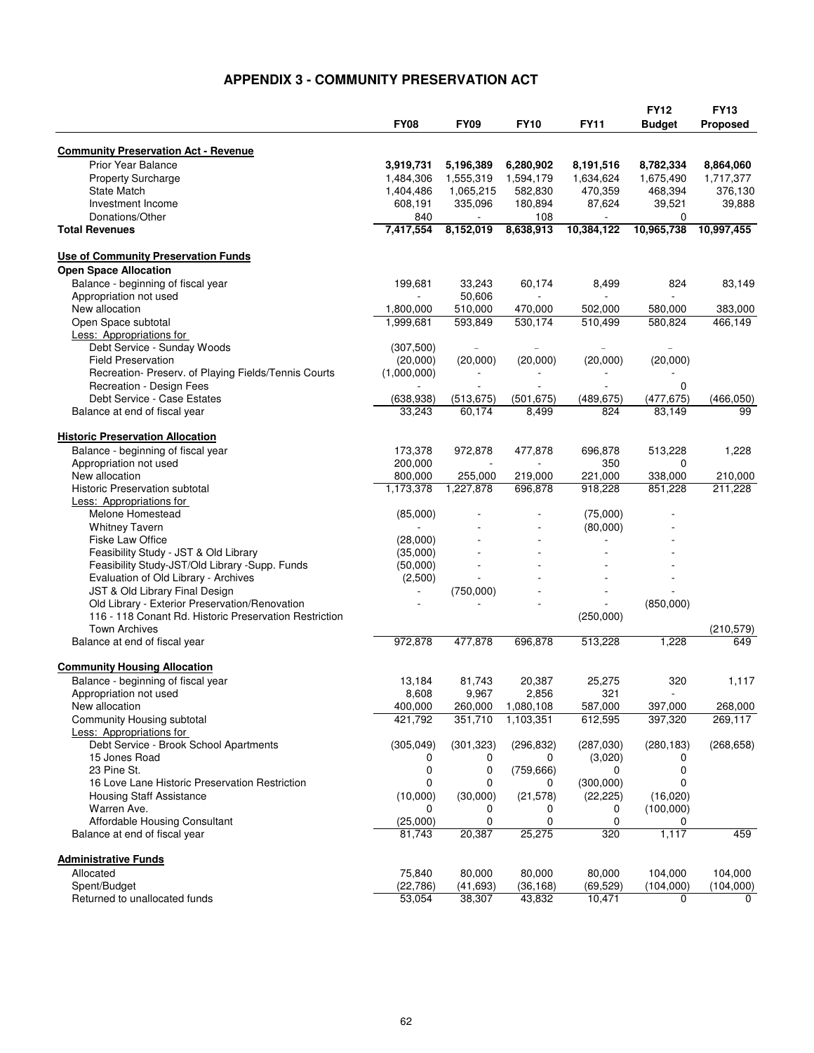## **APPENDIX 3 - COMMUNITY PRESERVATION ACT**

|                                                        |             |             |                |              | <b>FY12</b>    | <b>FY13</b>     |
|--------------------------------------------------------|-------------|-------------|----------------|--------------|----------------|-----------------|
|                                                        | <b>FY08</b> | <b>FY09</b> | <b>FY10</b>    | <b>FY11</b>  | <b>Budget</b>  | <b>Proposed</b> |
|                                                        |             |             |                |              |                |                 |
| <b>Community Preservation Act - Revenue</b>            |             |             |                |              |                |                 |
| <b>Prior Year Balance</b>                              | 3,919,731   | 5,196,389   | 6,280,902      | 8,191,516    | 8,782,334      | 8,864,060       |
| <b>Property Surcharge</b>                              | 1,484,306   | 1,555,319   | 1,594,179      | 1,634,624    | 1,675,490      | 1,717,377       |
| <b>State Match</b>                                     | 1,404,486   | 1,065,215   | 582,830        | 470,359      | 468,394        | 376,130         |
| Investment Income                                      | 608,191     | 335,096     | 180,894        | 87,624       | 39,521         | 39,888          |
| Donations/Other                                        | 840         |             | 108            |              | 0              |                 |
| <b>Total Revenues</b>                                  | 7,417,554   | 8,152,019   | 8,638,913      | 10,384,122   | 10,965,738     | 10,997,455      |
| <b>Use of Community Preservation Funds</b>             |             |             |                |              |                |                 |
| <b>Open Space Allocation</b>                           |             |             |                |              |                |                 |
| Balance - beginning of fiscal year                     | 199,681     | 33,243      | 60,174         | 8,499        | 824            | 83,149          |
| Appropriation not used                                 |             | 50,606      |                |              |                |                 |
| New allocation                                         | 1,800,000   | 510,000     | 470,000        | 502,000      | 580,000        | 383,000         |
| Open Space subtotal                                    | 1,999,681   | 593,849     | 530,174        | 510,499      | 580,824        | 466,149         |
| Less: Appropriations for                               |             |             |                |              |                |                 |
| Debt Service - Sunday Woods                            | (307,500)   |             |                |              | $\overline{a}$ |                 |
| <b>Field Preservation</b>                              | (20,000)    | (20,000)    | (20,000)       | (20,000)     | (20,000)       |                 |
| Recreation- Preserv. of Playing Fields/Tennis Courts   | (1,000,000) |             |                |              |                |                 |
| Recreation - Design Fees                               |             |             |                |              | 0              |                 |
| Debt Service - Case Estates                            | (638, 938)  | (513, 675)  | (501, 675)     | (489, 675)   | (477, 675)     | (466, 050)      |
| Balance at end of fiscal year                          | 33,243      | 60,174      | 8,499          | 824          | 83.149         | 99              |
| <b>Historic Preservation Allocation</b>                |             |             |                |              |                |                 |
| Balance - beginning of fiscal year                     | 173,378     | 972,878     | 477,878        | 696,878      | 513,228        | 1,228           |
| Appropriation not used                                 | 200,000     |             | $\overline{a}$ | 350          | 0              |                 |
| New allocation                                         | 800,000     | 255,000     | 219,000        | 221,000      | 338,000        | 210,000         |
| <b>Historic Preservation subtotal</b>                  | 1,173,378   | 1,227,878   | 696,878        | 918,228      | 851,228        | 211,228         |
| Less: Appropriations for                               |             |             |                |              |                |                 |
| Melone Homestead                                       | (85,000)    |             |                | (75,000)     |                |                 |
| <b>Whitney Tavern</b>                                  |             |             |                | (80,000)     |                |                 |
| <b>Fiske Law Office</b>                                | (28,000)    |             |                | $\mathbf{r}$ |                |                 |
| Feasibility Study - JST & Old Library                  | (35,000)    |             |                |              |                |                 |
| Feasibility Study-JST/Old Library -Supp. Funds         | (50,000)    |             |                |              |                |                 |
| Evaluation of Old Library - Archives                   | (2,500)     |             |                |              |                |                 |
| JST & Old Library Final Design                         |             | (750,000)   |                |              |                |                 |
| Old Library - Exterior Preservation/Renovation         |             |             |                |              | (850,000)      |                 |
| 116 - 118 Conant Rd. Historic Preservation Restriction |             |             |                | (250,000)    |                |                 |
| <b>Town Archives</b>                                   |             |             |                |              |                | (210, 579)      |
| Balance at end of fiscal year                          | 972,878     | 477,878     | 696,878        | 513,228      | 1,228          | 649             |
|                                                        |             |             |                |              |                |                 |
| <b>Community Housing Allocation</b>                    |             |             |                |              |                |                 |
| Balance - beginning of fiscal year                     | 13,184      | 81,743      | 20,387         | 25,275       | 320            | 1,117           |
| Appropriation not used                                 | 8,608       | 9,967       | 2,856          | 321          | $\sim$         |                 |
| New allocation                                         | 400,000     | 260,000     | 1,080,108      | 587,000      | 397,000        | 268,000         |
| Community Housing subtotal                             | 421,792     | 351,710     | 1,103,351      | 612,595      | 397,320        | 269,117         |
| Less: Appropriations for                               |             |             |                |              |                |                 |
| Debt Service - Brook School Apartments                 | (305, 049)  | (301, 323)  | (296, 832)     | (287,030)    | (280, 183)     | (268, 658)      |
| 15 Jones Road                                          | 0           | 0           | 0              | (3,020)      | 0              |                 |
| 23 Pine St.                                            | 0           | 0           | (759, 666)     | 0            | 0              |                 |
| 16 Love Lane Historic Preservation Restriction         | 0           | 0           | 0              | (300,000)    | 0              |                 |
| <b>Housing Staff Assistance</b>                        | (10,000)    | (30,000)    | (21, 578)      | (22, 225)    | (16,020)       |                 |
| Warren Ave.                                            | 0           | 0           | 0              | 0            | (100,000)      |                 |
| Affordable Housing Consultant                          | (25,000)    | 0           | 0              | 0            | 0              |                 |
| Balance at end of fiscal year                          | 81,743      | 20,387      | 25,275         | 320          | 1,117          | 459             |
| <b>Administrative Funds</b>                            |             |             |                |              |                |                 |
| Allocated                                              | 75,840      | 80,000      | 80,000         | 80,000       | 104,000        | 104,000         |
| Spent/Budget                                           | (22, 786)   | (41, 693)   | (36, 168)      | (69, 529)    | (104,000)      | (104,000)       |
| Returned to unallocated funds                          | 53,054      | 38,307      | 43,832         | 10,471       | 0              | 0               |